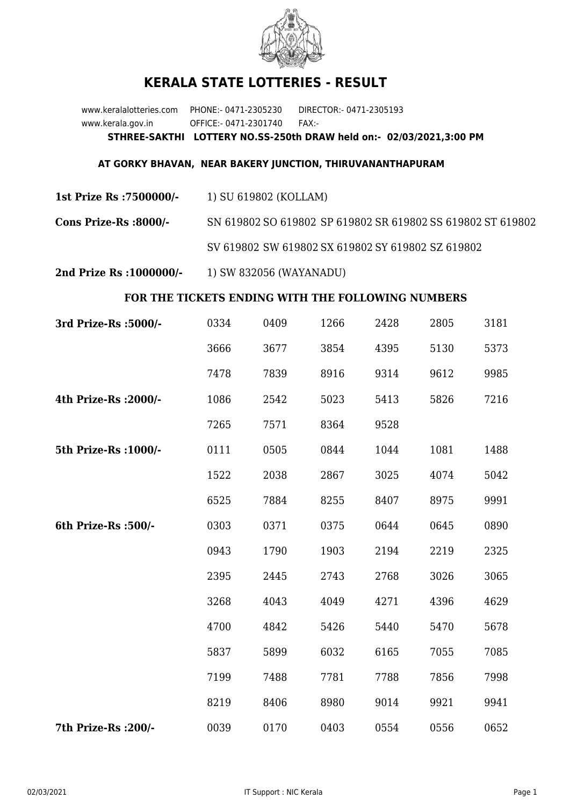

## **KERALA STATE LOTTERIES - RESULT**

www.keralalotteries.com PHONE:- 0471-2305230 DIRECTOR:- 0471-2305193 www.kerala.gov.in OFFICE:- 0471-2301740 FAX:- **STHREE-SAKTHI LOTTERY NO.SS-250th DRAW held on:- 02/03/2021,3:00 PM**

## **AT GORKY BHAVAN, NEAR BAKERY JUNCTION, THIRUVANANTHAPURAM**

**1st Prize Rs :7500000/-** 1) SU 619802 (KOLLAM)

**Cons Prize-Rs :8000/-** SN 619802 SO 619802 SP 619802 SR 619802 SS 619802 ST 619802 SV 619802 SW 619802 SX 619802 SY 619802 SZ 619802

**2nd Prize Rs :1000000/-** 1) SW 832056 (WAYANADU)

## **FOR THE TICKETS ENDING WITH THE FOLLOWING NUMBERS**

| 3rd Prize-Rs : 5000/- | 0334 | 0409 | 1266 | 2428 | 2805 | 3181 |
|-----------------------|------|------|------|------|------|------|
|                       | 3666 | 3677 | 3854 | 4395 | 5130 | 5373 |
|                       | 7478 | 7839 | 8916 | 9314 | 9612 | 9985 |
| 4th Prize-Rs : 2000/- | 1086 | 2542 | 5023 | 5413 | 5826 | 7216 |
|                       | 7265 | 7571 | 8364 | 9528 |      |      |
| 5th Prize-Rs : 1000/- | 0111 | 0505 | 0844 | 1044 | 1081 | 1488 |
|                       | 1522 | 2038 | 2867 | 3025 | 4074 | 5042 |
|                       | 6525 | 7884 | 8255 | 8407 | 8975 | 9991 |
| 6th Prize-Rs :500/-   | 0303 | 0371 | 0375 | 0644 | 0645 | 0890 |
|                       | 0943 | 1790 | 1903 | 2194 | 2219 | 2325 |
|                       | 2395 | 2445 | 2743 | 2768 | 3026 | 3065 |
|                       | 3268 | 4043 | 4049 | 4271 | 4396 | 4629 |
|                       | 4700 | 4842 | 5426 | 5440 | 5470 | 5678 |
|                       | 5837 | 5899 | 6032 | 6165 | 7055 | 7085 |
|                       | 7199 | 7488 | 7781 | 7788 | 7856 | 7998 |
|                       | 8219 | 8406 | 8980 | 9014 | 9921 | 9941 |
| 7th Prize-Rs : 200/-  | 0039 | 0170 | 0403 | 0554 | 0556 | 0652 |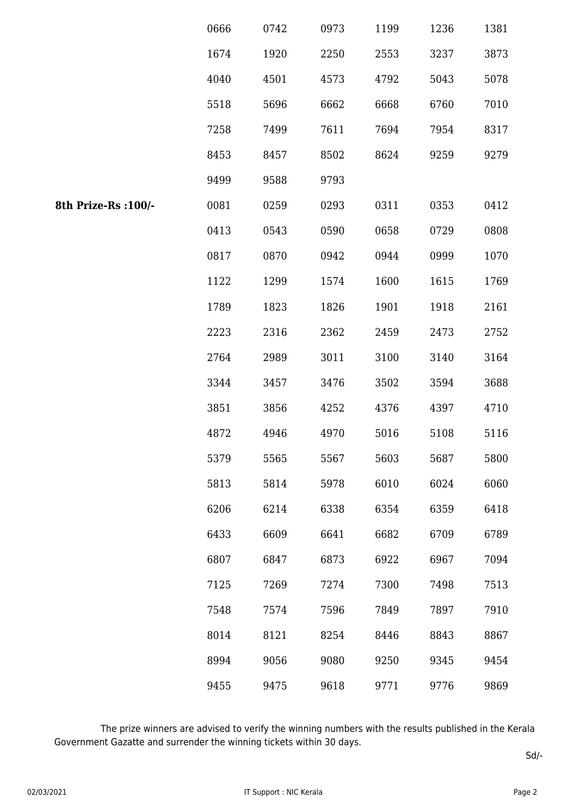|                      | 0666 | 0742 | 0973 | 1199 | 1236 | 1381 |
|----------------------|------|------|------|------|------|------|
|                      | 1674 | 1920 | 2250 | 2553 | 3237 | 3873 |
|                      | 4040 | 4501 | 4573 | 4792 | 5043 | 5078 |
|                      | 5518 | 5696 | 6662 | 6668 | 6760 | 7010 |
|                      | 7258 | 7499 | 7611 | 7694 | 7954 | 8317 |
|                      | 8453 | 8457 | 8502 | 8624 | 9259 | 9279 |
|                      | 9499 | 9588 | 9793 |      |      |      |
| 8th Prize-Rs : 100/- | 0081 | 0259 | 0293 | 0311 | 0353 | 0412 |
|                      | 0413 | 0543 | 0590 | 0658 | 0729 | 0808 |
|                      | 0817 | 0870 | 0942 | 0944 | 0999 | 1070 |
|                      | 1122 | 1299 | 1574 | 1600 | 1615 | 1769 |
|                      | 1789 | 1823 | 1826 | 1901 | 1918 | 2161 |
|                      | 2223 | 2316 | 2362 | 2459 | 2473 | 2752 |
|                      | 2764 | 2989 | 3011 | 3100 | 3140 | 3164 |
|                      | 3344 | 3457 | 3476 | 3502 | 3594 | 3688 |
|                      | 3851 | 3856 | 4252 | 4376 | 4397 | 4710 |
|                      | 4872 | 4946 | 4970 | 5016 | 5108 | 5116 |
|                      | 5379 | 5565 | 5567 | 5603 | 5687 | 5800 |
|                      | 5813 | 5814 | 5978 | 6010 | 6024 | 6060 |
|                      | 6206 | 6214 | 6338 | 6354 | 6359 | 6418 |
|                      | 6433 | 6609 | 6641 | 6682 | 6709 | 6789 |
|                      | 6807 | 6847 | 6873 | 6922 | 6967 | 7094 |
|                      | 7125 | 7269 | 7274 | 7300 | 7498 | 7513 |
|                      | 7548 | 7574 | 7596 | 7849 | 7897 | 7910 |
|                      | 8014 | 8121 | 8254 | 8446 | 8843 | 8867 |
|                      | 8994 | 9056 | 9080 | 9250 | 9345 | 9454 |
|                      | 9455 | 9475 | 9618 | 9771 | 9776 | 9869 |

 The prize winners are advised to verify the winning numbers with the results published in the Kerala Government Gazatte and surrender the winning tickets within 30 days.